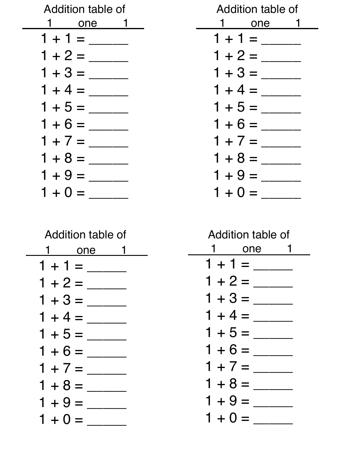| Addition table of | Addition table of |
|-------------------|-------------------|
| 1 one 1           | 1 one 1           |
| $1 + 1 =$         | $1 + 1 =$         |
|                   |                   |
| $1 + 3 =$         | $1 + 3 =$         |
| $1 + 4 =$         | $1 + 4 =$         |
| $1 + 5 =$         | $1 + 5 =$         |
| $1 + 6 =$         | $1 + 6 =$         |
| $1 + 7 =$         | $1 + 7 =$         |
| $1 + 8 =$         | $1 + 8 =$         |
| $1 + 9 =$         | $1 + 9 =$         |
| $1 + 0 =$         | $1 + 0 =$         |

|           | Addition table of |  |
|-----------|-------------------|--|
|           | one 1             |  |
| $1 + 1 =$ |                   |  |
| $1 + 2 =$ |                   |  |
| $1 + 3 =$ |                   |  |
| $1 + 4 =$ |                   |  |
| $1 + 5 =$ |                   |  |
| $1 + 6 =$ |                   |  |
| $1 + 7 =$ |                   |  |
| $1 + 8 =$ |                   |  |
| $1 + 9 =$ |                   |  |
| $1 + 0 =$ |                   |  |

| Addition table of |     |  |
|-------------------|-----|--|
|                   | one |  |
| $1 + 1 =$         |     |  |
| $1 + 2 =$         |     |  |
| $1 + 3 =$         |     |  |
| $1 + 4 =$         |     |  |
| $1 + 5 =$         |     |  |
| $1 + 6 =$         |     |  |
| $1 + 7 =$         |     |  |
| $1 + 8 =$         |     |  |
| $1 + 9 =$         |     |  |
| $1 + 0 =$         |     |  |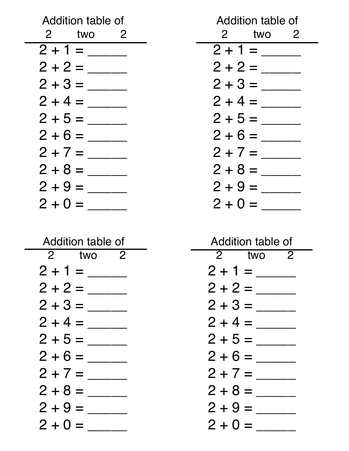| Addition table of | Addition table of |
|-------------------|-------------------|
| 2 two 2           | 2 two 2           |
| $2 + 1 =$         | $2 + 1 =$         |
| $2 + 2 =$         | $2 + 2 =$         |
| $2 + 3 =$         |                   |
| $2 + 4 =$         | $2 + 4 =$         |
| $2 + 5 =$         |                   |
| $2 + 6 =$         | $2 + 6 =$         |
| $2 + 7 =$         | $2 + 7 =$         |
| $2 + 8 =$         | $2 + 8 =$         |
| $2 + 9 =$         | $2 + 9 =$         |
| $2 + 0 =$         | $2 + 0 =$         |

| Addition table of |  |  |
|-------------------|--|--|
| 2 two 2           |  |  |
| $2 + 1 =$         |  |  |
| $2 + 2 =$         |  |  |
| $2 + 3 =$         |  |  |
| $2 + 4 =$         |  |  |
| $2 + 5 =$         |  |  |
| $2 + 6 =$         |  |  |
| $2 + 7 =$         |  |  |
| $2 + 8 =$         |  |  |
| $2 + 9 =$         |  |  |
| $2 + 0 =$         |  |  |

| Addition table of                  |  |  |
|------------------------------------|--|--|
| two $\overline{2}$<br>$\mathbf{2}$ |  |  |
| $2 + 1 =$                          |  |  |
| $2 + 2 =$                          |  |  |
| $2 + 3 =$                          |  |  |
| $2 + 4 =$                          |  |  |
| $2 + 5 =$                          |  |  |
| $2 + 6 =$                          |  |  |
| $2 + 7 =$                          |  |  |
| $2 + 8 =$                          |  |  |
| $2 + 9 =$                          |  |  |
| $2 + 0 =$                          |  |  |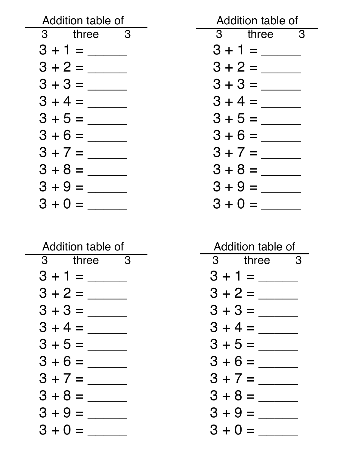| Addition table of | Addition table of                   |
|-------------------|-------------------------------------|
| 3 three 3         | $\overline{3}$ three $\overline{3}$ |
|                   | $3 + 1 =$                           |
| $3 + 2 =$         |                                     |
|                   | $3 + 3 =$                           |
|                   | $3 + 4 =$                           |
| $3 + 5 =$         | $3 + 5 =$                           |
| $3 + 6 =$         | $3 + 6 =$                           |
| $3 + 7 =$         | $3 + 7 =$                           |
| $3 + 8 =$         | $3 + 8 =$                           |
| $3 + 9 =$         | $3 + 9 =$                           |
| $3 + 0 =$         | $3 + 0 =$                           |

| Addition table of |  |  |
|-------------------|--|--|
| three<br>З<br>3   |  |  |
| $3 + 1 =$         |  |  |
| $3 + 2 =$         |  |  |
| $3 + 3 =$         |  |  |
| $3 + 4 =$         |  |  |
| $3 + 5 =$         |  |  |
| $3 + 6 =$         |  |  |
| $3 + 7 =$         |  |  |
| $3 + 8 =$         |  |  |
| $3 + 9 =$         |  |  |
| $3 + 0 =$         |  |  |

| Addition table of |  |  |
|-------------------|--|--|
| three<br>З<br>З   |  |  |
| $3 + 1 =$         |  |  |
| $3 + 2 =$         |  |  |
| $3 + 3 =$         |  |  |
| $3 + 4 =$         |  |  |
| $3 + 5 =$         |  |  |
| $3 + 6 =$         |  |  |
| $3 + 7 =$         |  |  |
| $3 + 8 =$         |  |  |
| $3 + 9 =$         |  |  |
| $3 + 0 =$         |  |  |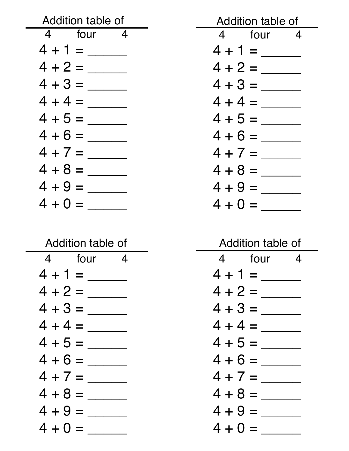| Addition table of | Addition table of |
|-------------------|-------------------|
| 4 four 4          | 4 four 4          |
|                   | $4 + 1 =$         |
|                   | $4 + 2 =$         |
| $4 + 3 =$         | $4 + 3 =$         |
| $4 + 4 =$         | $4 + 4 =$         |
|                   | $4 + 5 =$         |
|                   | $4 + 6 =$         |
| $4 + 7 =$         | $4 + 7 =$         |
| $4 + 8 =$         | $4 + 8 =$         |
| $4 + 9 =$         | $4 + 9 =$         |
| $4 + 0 =$         | $4 + 0 =$         |

| Addition table of |                          |  |
|-------------------|--------------------------|--|
|                   | 4 four<br>$\overline{4}$ |  |
| $4 + 1 =$         |                          |  |
| $4 + 2 =$         |                          |  |
| $4 + 3 =$         |                          |  |
| $4 + 4 =$         |                          |  |
| $4 + 5 =$         |                          |  |
| $4 + 6 =$         |                          |  |
| $4 + 7 =$         |                          |  |
| $4 + 8 =$         |                          |  |
| $4 + 9 =$         |                          |  |
| $4 + 0 =$         |                          |  |

| Addition table of |               |   |
|-------------------|---------------|---|
| 4                 | four <b>f</b> | 4 |
| 4 + 1 =           |               |   |
| 4 + 2 =           |               |   |
| 4 + 3 =           |               |   |
| 4 + 4 =           |               |   |
| 4 + 5 =           |               |   |
| 4 + 6 =           |               |   |
| $4 + 7 =$         |               |   |
| 4 + 8 =           |               |   |
| 4 + 9 =           |               |   |
| 4 + 0 =           |               |   |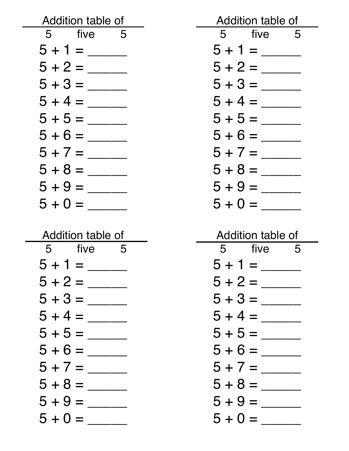| Addition table of | Addition table of |
|-------------------|-------------------|
| five<br>5<br>- 5  | five<br>5<br>- 5  |
| $5 + 1 =$         | $5 + 1 =$         |
| $5 + 2 =$         | $5 + 2 =$         |
| $5 + 3 =$         | $5 + 3 =$         |
| $5 + 4 =$         | $5 + 4 =$         |
| $5 + 5 =$         | $5 + 5 =$         |
| $5 + 6 =$         | $5 + 6 =$         |
| $5 + 7 =$         | $5 + 7 =$         |
| $5 + 8 =$         | $5 + 8 =$         |
| $5 + 9 =$         | $5 + 9 =$         |
| $5 + 0 =$         | $5 + 0 =$         |
|                   |                   |
|                   |                   |
| Addition table of | Addition table of |
| five<br>5<br>5    | five<br>5<br>5    |
|                   |                   |
|                   |                   |
|                   |                   |
|                   |                   |
|                   |                   |
|                   |                   |
| $5 + 7 =$         | $5 + 7 =$         |
|                   | $5 + 8 =$         |

5 + 0 = \_\_\_\_\_

5 + 9 = \_\_\_\_\_ 5 + 0 = \_\_\_\_\_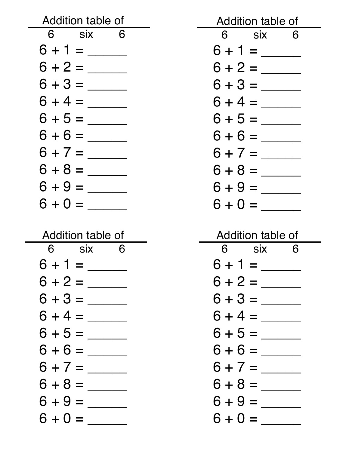| Addition table of       | Addition table of    |
|-------------------------|----------------------|
| 6 six<br>$\overline{6}$ | 6 six<br>6           |
| $6 + 1 =$               | $6 + 1 =$            |
| $6 + 2 =$               | $6 + 2 =$            |
| $6 + 3 =$               | $6 + 3 =$            |
| $6 + 4 =$               | $6 + 4 =$            |
| $6 + 5 =$               | $6 + 5 =$            |
| $6 + 6 =$               | $6 + 6 =$            |
| $6 + 7 =$               | $6 + 7 =$            |
| $6 + 8 =$               | $6 + 8 =$            |
| $6 + 9 =$               | $6 + 9 =$            |
| $6 + 0 =$               | $6 + 0 =$            |
|                         |                      |
|                         |                      |
| Addition table of       | Addition table of    |
| 6<br>6<br><b>SIX</b>    | 6<br><b>SIX</b><br>6 |
|                         |                      |
|                         | $6 + 2 =$            |
|                         |                      |
|                         | $6 + 4 =$            |
|                         |                      |
|                         |                      |
|                         |                      |
|                         |                      |

 $6 + 0 = \_$ 

 $6 + 0 = \_$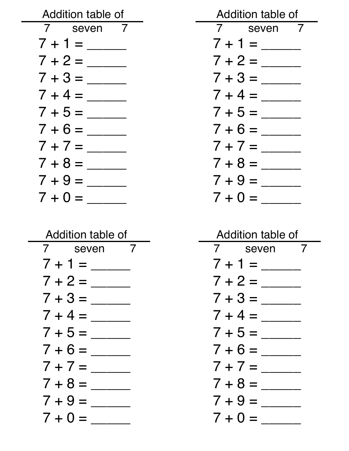| Addition table of | Addition table of |
|-------------------|-------------------|
| 7 seven 7         | 7 seven 7         |
| $7 + 1 =$         | $7 + 1 =$         |
| $7 + 2 =$         | $7 + 2 =$         |
| $7 + 3 =$         | $7 + 3 =$         |
| $7 + 4 =$         | $7 + 4 =$         |
|                   | $7 + 5 =$         |
| $7 + 6 =$         | $7 + 6 =$         |
| $7 + 7 =$         | $7 + 7 =$         |
| $7 + 8 =$         | $7 + 8 =$         |
| $7 + 9 =$         | $7 + 9 =$         |
| $7 + 0 =$         | $7 + 0 =$         |

| Addition table of            |  |
|------------------------------|--|
| 7<br>$\overline{I}$<br>seven |  |
| $7 + 1 =$                    |  |
| $7 + 2 =$                    |  |
| $7 + 3 =$                    |  |
| $7 + 4 =$                    |  |
| $7 + 5 =$                    |  |
| $7 + 6 =$                    |  |
| $7 + 7 =$                    |  |
| $7 + 8 =$                    |  |
| $7 + 9 =$                    |  |
| $7 + 0 =$                    |  |

| Addition table of |  |
|-------------------|--|
| 7<br>7<br>seven   |  |
| $7 + 1 =$         |  |
| $7 + 2 =$         |  |
| $7 + 3 =$         |  |
| $7 + 4 =$         |  |
| $7 + 5 =$         |  |
| $7 + 6 =$         |  |
| $7 + 7 =$         |  |
| $7 + 8 =$         |  |
| $7 + 9 =$         |  |
| $7 + 0 =$         |  |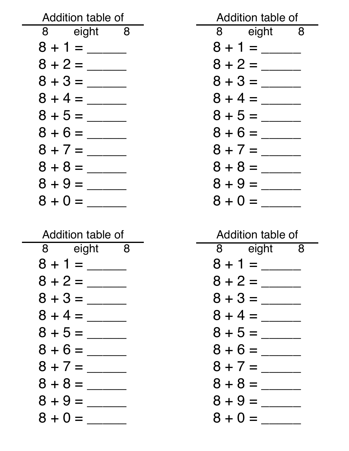| Addition table of | Addition table of |
|-------------------|-------------------|
| 8 eight 8         | 8 eight 8         |
|                   | $8 + 1 =$         |
|                   | $8 + 2 =$         |
|                   | $8 + 3 =$         |
|                   | $8 + 4 =$         |
| $8 + 5 =$         | $8 + 5 =$         |
|                   | $8 + 6 =$         |
| $8 + 7 =$         | $8 + 7 =$         |
| $8 + 8 =$         | $8 + 8 =$         |
| $8 + 9 =$         | $8 + 9 =$         |
| $8 + 0 =$         | $8 + 0 =$         |

| Addition table of   |  |
|---------------------|--|
| 8<br>eight<br>8     |  |
| $8 + 1 =$           |  |
| $8 + 2 =$           |  |
| $8 + 3 =$           |  |
| $8 + 4 =$           |  |
| $8 + 5 =$           |  |
| $8 + 6 =$           |  |
| $8 + 7 =$           |  |
| $8 + 8 =$           |  |
| $8 + 9 =$           |  |
| $8 + 0$<br>$\equiv$ |  |

| Addition table of |       |   |
|-------------------|-------|---|
| 8                 | eight | 8 |
| $8 + 1 =$         |       |   |
| $8 + 2 =$         |       |   |
| $8 + 3 =$         |       |   |
| $8 + 4 =$         |       |   |
| $8 + 5 =$         |       |   |
| $8 + 6 =$         |       |   |
| $8 + 7 =$         |       |   |
| $8 + 8 =$         |       |   |
| $8 + 9 =$         |       |   |
| $8 + 0 =$         |       |   |